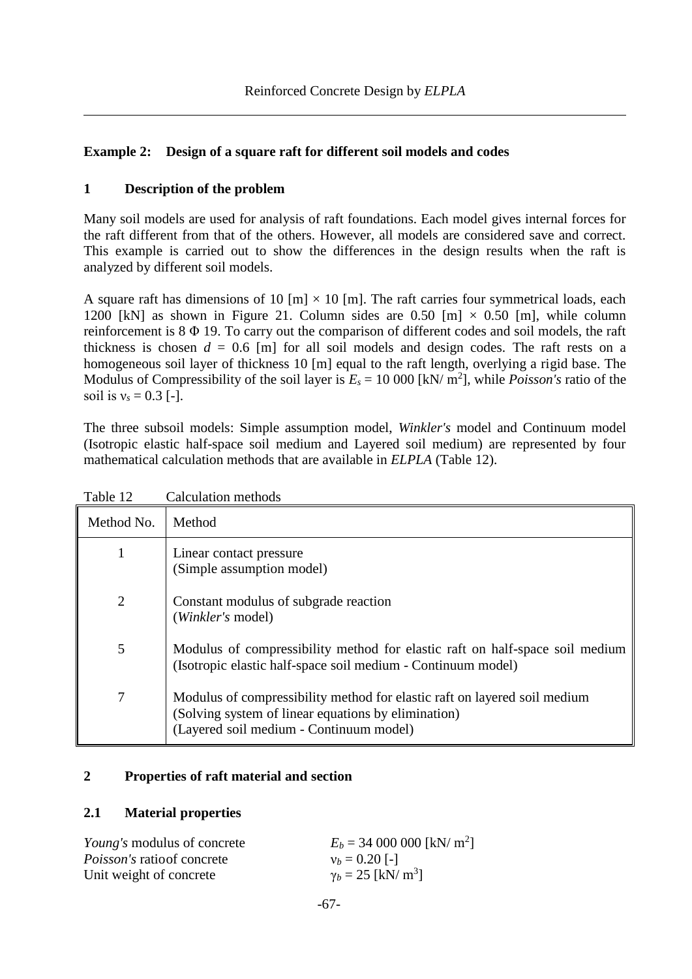# **Example 2: Design of a square raft for different soil models and codes**

# **1 Description of the problem**

Many soil models are used for analysis of raft foundations. Each model gives internal forces for the raft different from that of the others. However, all models are considered save and correct. This example is carried out to show the differences in the design results when the raft is analyzed by different soil models.

A square raft has dimensions of 10 [m]  $\times$  10 [m]. The raft carries four symmetrical loads, each 1200 [kN] as shown in [Figure 21.](#page-1-0) Column sides are 0.50 [m]  $\times$  0.50 [m], while column reinforcement is 8 Φ 19. To carry out the comparison of different codes and soil models, the raft thickness is chosen  $d = 0.6$  [m] for all soil models and design codes. The raft rests on a homogeneous soil layer of thickness 10 [m] equal to the raft length, overlying a rigid base. The Modulus of Compressibility of the soil layer is  $E_s = 10000$  [kN/ m<sup>2</sup>], while *Poisson's* ratio of the soil is  $v_s = 0.3$  [-].

The three subsoil models: Simple assumption model, *Winkler's* model and Continuum model (Isotropic elastic half-space soil medium and Layered soil medium) are represented by four mathematical calculation methods that are available in *ELPLA* [\(Table 12\)](#page-0-0).

<span id="page-0-0"></span>

| Table 12       | <b>Calculation methods</b>                                                                                                                                                  |
|----------------|-----------------------------------------------------------------------------------------------------------------------------------------------------------------------------|
| Method No.     | Method                                                                                                                                                                      |
| 1              | Linear contact pressure<br>(Simple assumption model)                                                                                                                        |
| $\overline{2}$ | Constant modulus of subgrade reaction<br>(Winkler's model)                                                                                                                  |
| 5              | Modulus of compressibility method for elastic raft on half-space soil medium<br>(Isotropic elastic half-space soil medium - Continuum model)                                |
| 7              | Modulus of compressibility method for elastic raft on layered soil medium<br>(Solving system of linear equations by elimination)<br>(Layered soil medium - Continuum model) |

# **2 Properties of raft material and section**

## **2.1 Material properties**

| <i>Young's</i> modulus of concrete | $E_b = 34\,000\,000$ [kN/ m <sup>2</sup> ] |
|------------------------------------|--------------------------------------------|
| <i>Poisson's</i> ratio of concrete | $v_b = 0.20$ [-]                           |
| Unit weight of concrete            | $\gamma_b = 25$ [kN/ m <sup>3</sup> ]      |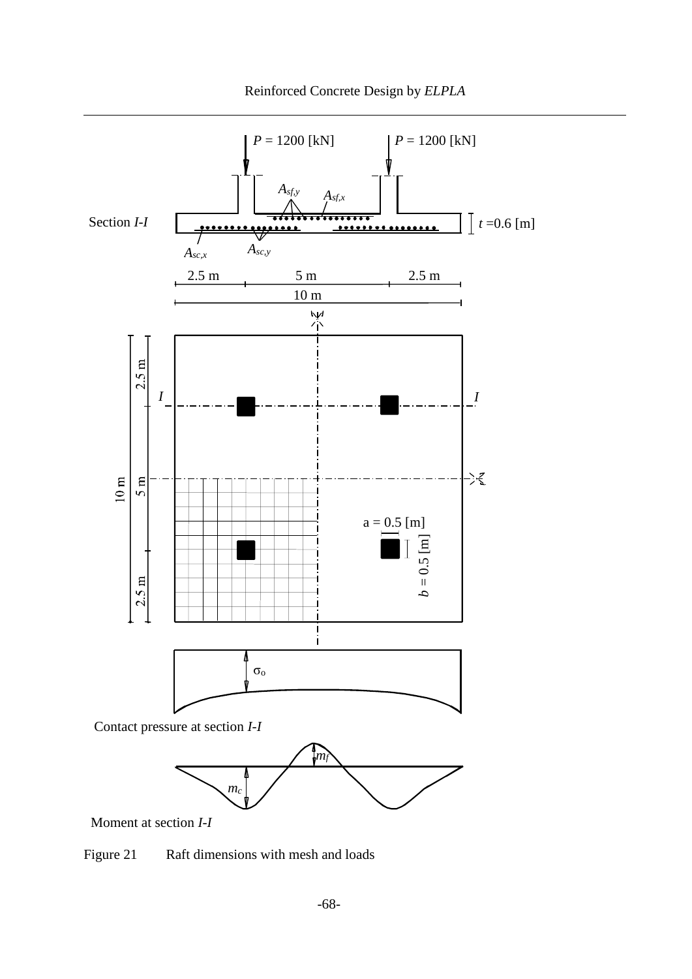

Moment at section *I*-*I*

<span id="page-1-0"></span>Figure 21 Raft dimensions with mesh and loads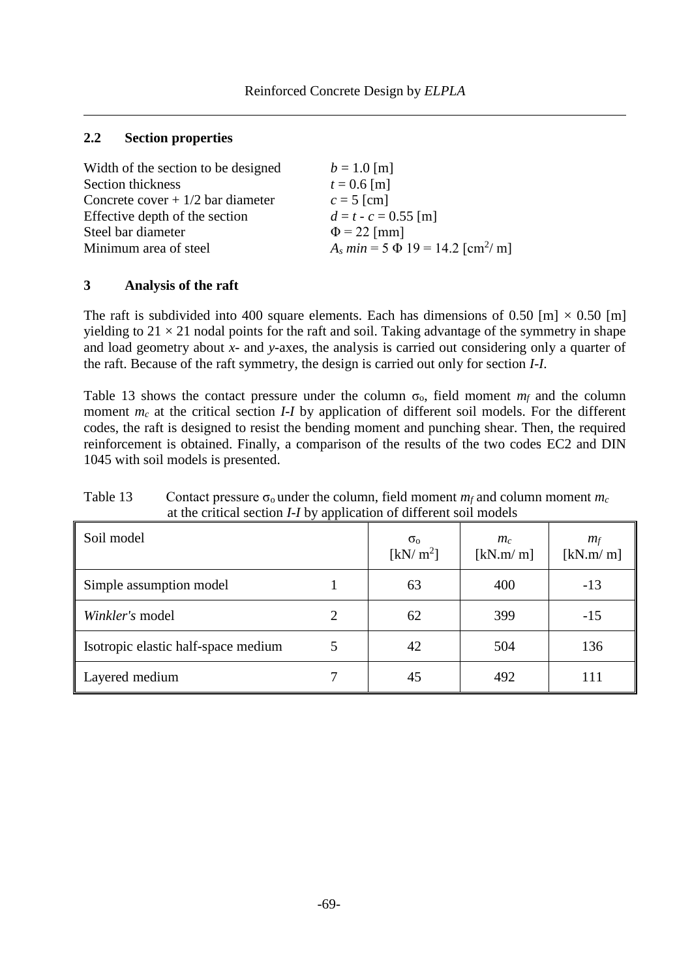## **2.2 Section properties**

| Width of the section to be designed | $b = 1.0$ [m]                                      |
|-------------------------------------|----------------------------------------------------|
| Section thickness                   | $t = 0.6$ [m]                                      |
| Concrete cover $+1/2$ bar diameter  | $c = 5$ [cm]                                       |
| Effective depth of the section      | $d = t - c = 0.55$ [m]                             |
| Steel bar diameter                  | $\Phi$ = 22 [mm]                                   |
| Minimum area of steel               | $A_s min = 5 \Phi 19 = 14.2$ [cm <sup>2</sup> / m] |

## **3 Analysis of the raft**

The raft is subdivided into 400 square elements. Each has dimensions of 0.50 [m]  $\times$  0.50 [m] yielding to  $21 \times 21$  nodal points for the raft and soil. Taking advantage of the symmetry in shape and load geometry about *x*- and *y*-axes, the analysis is carried out considering only a quarter of the raft. Because of the raft symmetry, the design is carried out only for section *I*-*I*.

[Table 13](#page-2-0) shows the contact pressure under the column  $\sigma_0$ , field moment  $m_f$  and the column moment  $m_c$  at the critical section *I-I* by application of different soil models. For the different codes, the raft is designed to resist the bending moment and punching shear. Then, the required reinforcement is obtained. Finally, a comparison of the results of the two codes EC2 and DIN 1045 with soil models is presented.

| Soil model                          |   | $\sigma_{\rm o}$<br>[kN/m <sup>2</sup> ] | $m_c$<br>[kN.m/m] | $m_f$<br>[kN.m/m] |
|-------------------------------------|---|------------------------------------------|-------------------|-------------------|
| Simple assumption model             |   | 63                                       | 400               | $-13$             |
| Winkler's model                     | 2 | 62                                       | 399               | $-15$             |
| Isotropic elastic half-space medium | 5 | 42                                       | 504               | 136               |
| Layered medium                      |   | 45                                       | 492               | 111               |

<span id="page-2-0"></span>Table 13 Contact pressure  $\sigma_0$  under the column, field moment  $m_f$  and column moment  $m_c$ at the critical section *I*-*I* by application of different soil models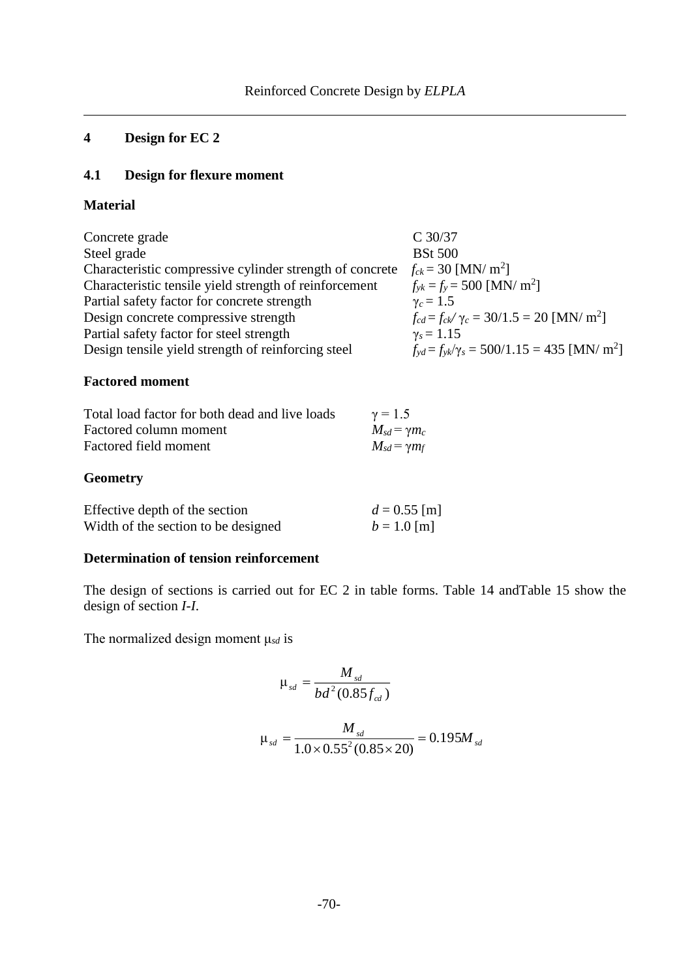# **4 Design for EC 2**

# **4.1 Design for flexure moment**

## **Material**

| $f_{yd} = f_{yk}/\gamma_s = 500/1.15 = 435$ [MN/ m <sup>2</sup> ] |
|-------------------------------------------------------------------|
|                                                                   |

# **Factored moment**

| Total load factor for both dead and live loads | $\gamma = 1.5$        |
|------------------------------------------------|-----------------------|
| Factored column moment                         | $M_{sd} = \gamma m_c$ |
| Factored field moment                          | $M_{sd} = \gamma m_f$ |
|                                                |                       |

# **Geometry**

| Effective depth of the section      | $d = 0.55$ [m] |
|-------------------------------------|----------------|
| Width of the section to be designed | $b = 1.0$ [m]  |

# **Determination of tension reinforcement**

The design of sections is carried out for EC 2 in table forms. [Table 14](#page-4-0) an[dTable 15](#page-4-1) show the design of section *I*-*I*.

The normalized design moment μ*sd* is

$$
\mu_{sd} = \frac{M_{sd}}{bd^2 (0.85 f_{cd})}
$$

$$
\mu_{sd} = \frac{M_{sd}}{1.0 \times 0.55^2 (0.85 \times 20)} = 0.195 M_{sd}
$$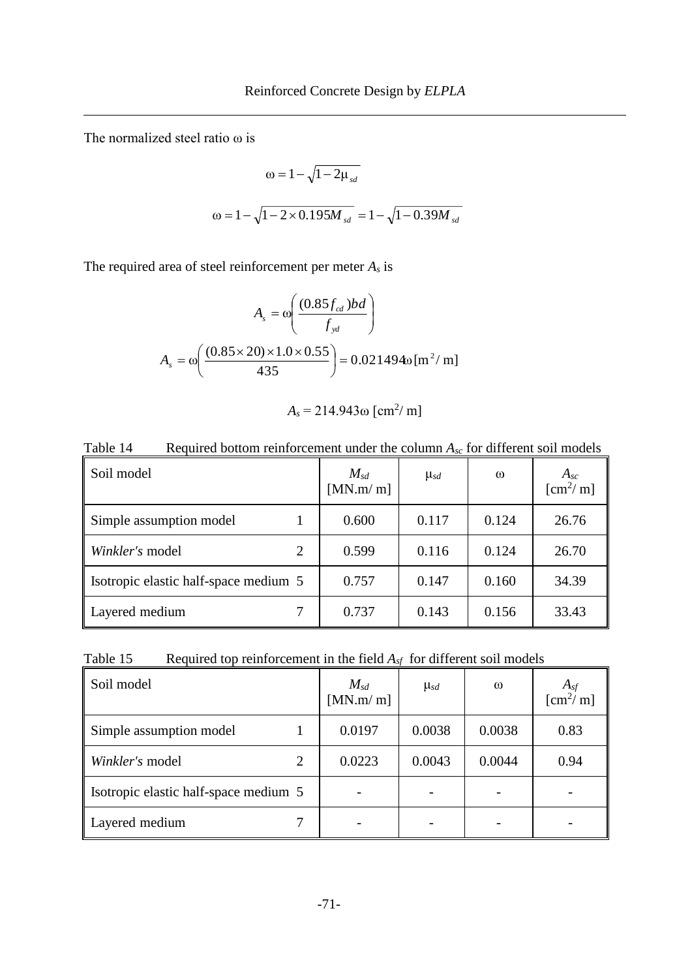The normalized steel ratio ω is

$$
\omega = 1 - \sqrt{1 - 2\mu_{sd}}
$$
  

$$
\omega = 1 - \sqrt{1 - 2 \times 0.195 M_{sd}} = 1 - \sqrt{1 - 0.39 M_{sd}}
$$

The required area of steel reinforcement per meter *A<sup>s</sup>* is

$$
A_s = \omega \left( \frac{(0.85f_{cd})bd}{f_{yd}} \right)
$$

$$
A_s = \omega \left( \frac{(0.85 \times 20) \times 1.0 \times 0.55}{435} \right) = 0.021494\omega \left[ m^2 / m \right]
$$

$$
A_s = 214.943\,\mathrm{m} \left[\,\mathrm{cm}^2/\,\mathrm{m}\right]
$$

<span id="page-4-0"></span>Table 14 Required bottom reinforcement under the column  $A_{sc}$  for different soil models Soil model *Msd* [MN.m/ m]  $\mu_{sd}$  **ω** *A<sub>sc</sub>*  $[cm<sup>2</sup>/m]$ Simple assumption model 1 0.600 0.117 0.124 26.76 *Winkler's* model 2 0.599 0.116 0.124 26.70

Isotropic elastic half-space medium  $5 \mid 0.757 \mid 0.147 \mid 0.160 \mid 34.39$ 

Layered medium 7 | 0.737 | 0.143 | 0.156 | 33.43

<span id="page-4-1"></span>

| Table 15 |  |  | Required top reinforcement in the field $A_{sf}$ for different soil models |  |  |
|----------|--|--|----------------------------------------------------------------------------|--|--|
|----------|--|--|----------------------------------------------------------------------------|--|--|

| Soil model                            | $M_{sd}$<br>[MN.m/m] | $\mu_{sd}$ | $\omega$ | $A_{sf}$ [cm <sup>2</sup> / m] |
|---------------------------------------|----------------------|------------|----------|--------------------------------|
| Simple assumption model               | 0.0197               | 0.0038     | 0.0038   | 0.83                           |
| Winkler's model                       | 0.0223               | 0.0043     | 0.0044   | 0.94                           |
| Isotropic elastic half-space medium 5 |                      |            |          |                                |
| Layered medium                        |                      |            |          |                                |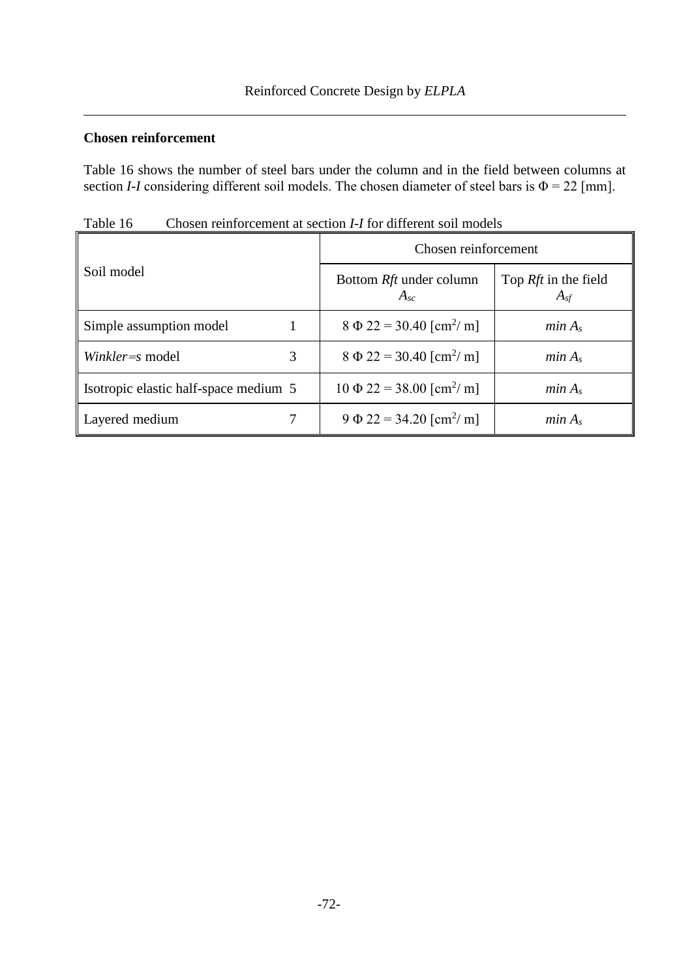## **Chosen reinforcement**

[Table 16](#page-5-0) shows the number of steel bars under the column and in the field between columns at section *I-I* considering different soil models. The chosen diameter of steel bars is  $\Phi = 22$  [mm].

| ruolo to<br>rion i Toi unicient son i |                                            |                                                |  |  |  |
|---------------------------------------|--------------------------------------------|------------------------------------------------|--|--|--|
|                                       | Chosen reinforcement                       |                                                |  |  |  |
| Soil model                            | Bottom Rft under column<br>$A_{sc}$        | Top <i>Rft</i> in the field<br>$A_{\text{sf}}$ |  |  |  |
| Simple assumption model               | $8 \Phi 22 = 30.40$ [cm <sup>2</sup> / m]  | min A <sub>s</sub>                             |  |  |  |
| Winkler=s model<br>3                  | $8 \Phi 22 = 30.40$ [cm <sup>2</sup> / m]  | min A <sub>s</sub>                             |  |  |  |
| Isotropic elastic half-space medium 5 | $10 \Phi 22 = 38.00$ [cm <sup>2</sup> / m] | min A <sub>s</sub>                             |  |  |  |
| Layered medium                        | $9 \Phi 22 = 34.20$ [cm <sup>2</sup> / m]  | min A <sub>s</sub>                             |  |  |  |

<span id="page-5-0"></span>Table 16 Chosen reinforcement at section *I-I* for different soil models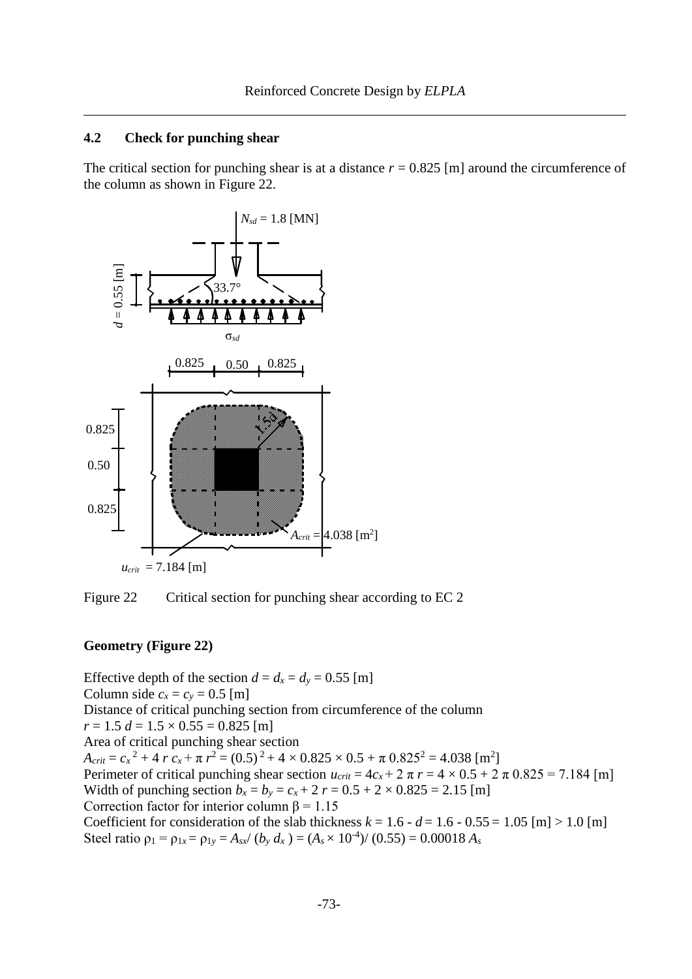#### **4.2 Check for punching shear**

The critical section for punching shear is at a distance  $r = 0.825$  [m] around the circumference of the column as shown in [Figure 22.](#page-6-0)



<span id="page-6-0"></span>Figure 22 Critical section for punching shear according to EC 2

#### **Geometry [\(Figure 22\)](#page-6-0)**

Effective depth of the section  $d = d_x = d_y = 0.55$  [m] Column side  $c_x = c_y = 0.5$  [m] Distance of critical punching section from circumference of the column  $r = 1.5 d = 1.5 \times 0.55 = 0.825$  [m] Area of critical punching shear section  $A_{crit} = c_x^2 + 4 r c_x + \pi r^2 = (0.5)^2 + 4 \times 0.825 \times 0.5 + \pi 0.825^2 = 4.038$  [m<sup>2</sup>] Perimeter of critical punching shear section  $u_{crit} = 4c_x + 2 \pi r = 4 \times 0.5 + 2 \pi 0.825 = 7.184$  [m] Width of punching section  $b_x = b_y = c_x + 2$   $r = 0.5 + 2 \times 0.825 = 2.15$  [m] Correction factor for interior column  $\beta = 1.15$ Coefficient for consideration of the slab thickness  $k = 1.6 - d = 1.6 - 0.55 = 1.05$  [m]  $> 1.0$  [m] Steel ratio  $\rho_1 = \rho_{1x} = \rho_{1y} = A_{sx}/(b_y \, d_x) = (A_s \times 10^{-4})/(0.55) = 0.00018 \, A_s$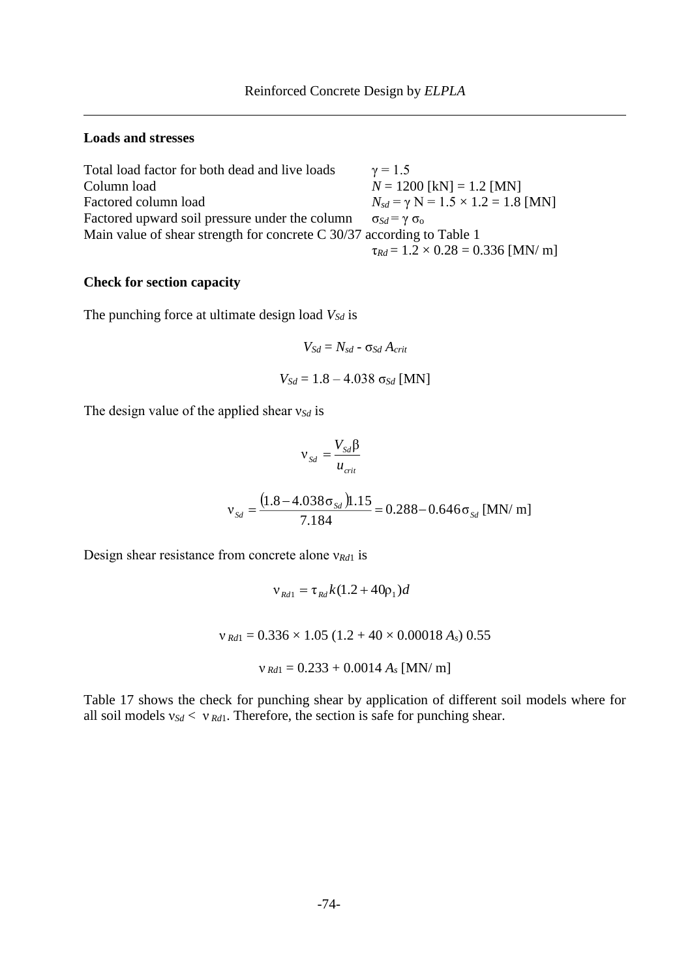#### **Loads and stresses**

| Total load factor for both dead and live loads                           | $\gamma = 1.5$                                  |
|--------------------------------------------------------------------------|-------------------------------------------------|
| Column load                                                              | $N = 1200$ [kN] = 1.2 [MN]                      |
| Factored column load                                                     | $N_{sd} = \gamma N = 1.5 \times 1.2 = 1.8$ [MN] |
| Factored upward soil pressure under the column                           | $\sigma_{Sd} = \gamma \sigma_0$                 |
| Main value of shear strength for concrete $C$ 30/37 according to Table 1 |                                                 |
|                                                                          | $\tau_{Rd} = 1.2 \times 0.28 = 0.336$ [MN/ m]   |

#### **Check for section capacity**

The punching force at ultimate design load *VSd* is

$$
V_{Sd} = N_{sd} - \sigma_{Sd} A_{crit}
$$

$$
V_{Sd} = 1.8 - 4.038 \sigma_{Sd} \text{ [MN]}
$$

The design value of the applied shear ν*Sd* is

$$
v_{Sd} = \frac{V_{Sd} \beta}{u_{crit}}
$$
  

$$
v_{Sd} = \frac{(1.8 - 4.038 \sigma_{Sd}) 1.15}{7.184} = 0.288 - 0.646 \sigma_{Sd} \text{ [MN/ m]}
$$

Design shear resistance from concrete alone ν*Rd*<sup>1</sup> is

$$
v_{Rd1} = \tau_{Rd} k (1.2 + 40 \rho_1) d
$$

 $v_{\text{Rd1}} = 0.336 \times 1.05 (1.2 + 40 \times 0.00018 A_s) 0.55$ 

$$
v_{Rd1} = 0.233 + 0.0014 A_s
$$
 [MN/m]

[Table 17](#page-8-0) shows the check for punching shear by application of different soil models where for all soil models ν*Sd* < ν *Rd*1. Therefore, the section is safe for punching shear.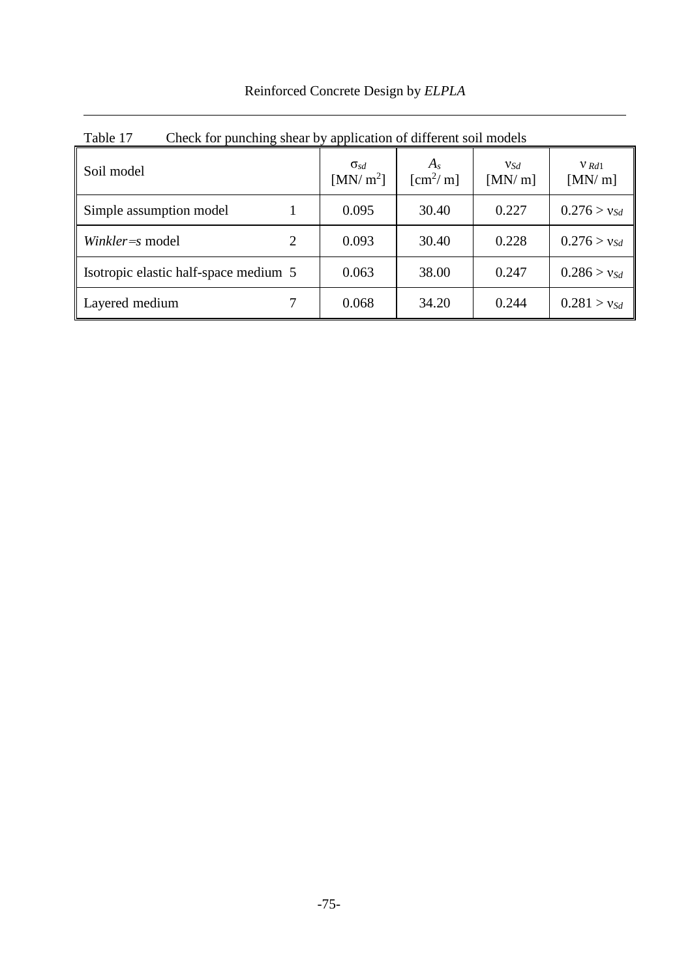| Reinforced Concrete Design by ELPLA |  |  |  |
|-------------------------------------|--|--|--|
|                                     |  |  |  |

| Table 17<br>Check for punching shear by application of different soil models |   |                               |                                |               |                   |
|------------------------------------------------------------------------------|---|-------------------------------|--------------------------------|---------------|-------------------|
| Soil model                                                                   |   | $\sigma_{sd}$<br>[MN/ $m^2$ ] | $A_{s}$<br>$\mathrm{[cm^2/m]}$ | VSd<br>[MN/m] | $V$ Rd1<br>[MN/m] |
| Simple assumption model                                                      |   | 0.095                         | 30.40                          | 0.227         | $0.276 > v_{Sd}$  |
| Winkler=s model                                                              | 2 | 0.093                         | 30.40                          | 0.228         | $0.276 > v_{Sd}$  |
| Isotropic elastic half-space medium 5                                        |   | 0.063                         | 38.00                          | 0.247         | $0.286 > v_{Sd}$  |
| Layered medium                                                               |   | 0.068                         | 34.20                          | 0.244         | $0.281 > v_{Sd}$  |

<span id="page-8-0"></span>Table 17 Check for punching shear by application of different soil models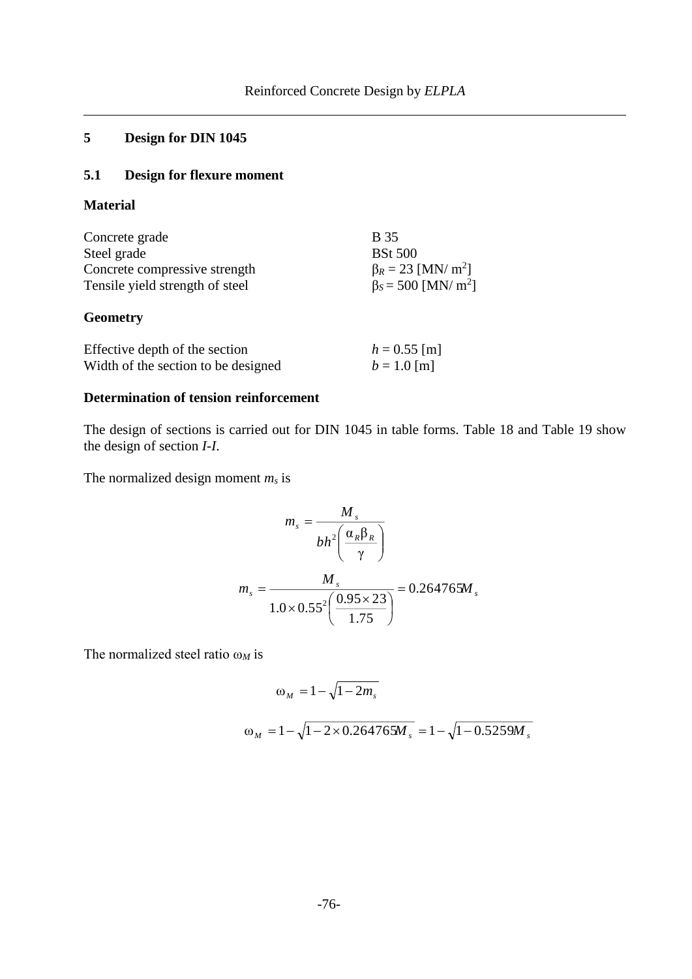# **5 Design for DIN 1045**

# **5.1 Design for flexure moment**

**Material**

| Concrete grade                                                        | <b>B</b> 35                           |
|-----------------------------------------------------------------------|---------------------------------------|
| Steel grade                                                           | <b>BSt 500</b>                        |
| Concrete compressive strength                                         | $\beta_R = 23$ [MN/ m <sup>2</sup> ]  |
| Tensile yield strength of steel                                       | $\beta_s = 500$ [MN/ m <sup>2</sup> ] |
| <b>Geometry</b>                                                       |                                       |
| Effective depth of the section<br>Width of the section to be designed | $h = 0.55$ [m]<br>$b = 1.0$ [m]       |

# **Determination of tension reinforcement**

The design of sections is carried out for DIN 1045 in table forms. [Table 18](#page-10-0) and [Table 19](#page-10-1) show the design of section *I*-*I*.

The normalized design moment *m<sup>s</sup>* is

$$
m_s = \frac{M_s}{bh^2 \left(\frac{\alpha_R \beta_R}{\gamma}\right)}
$$

$$
m_s = \frac{M_s}{1.0 \times 0.55^2 \left(\frac{0.95 \times 23}{1.75}\right)} = 0.264765 M_s
$$

The normalized steel ratio ω*<sup>M</sup>* is

$$
\omega_M = 1 - \sqrt{1 - 2m_s}
$$
  

$$
\omega_M = 1 - \sqrt{1 - 2 \times 0.264765 M_s} = 1 - \sqrt{1 - 0.5259 M_s}
$$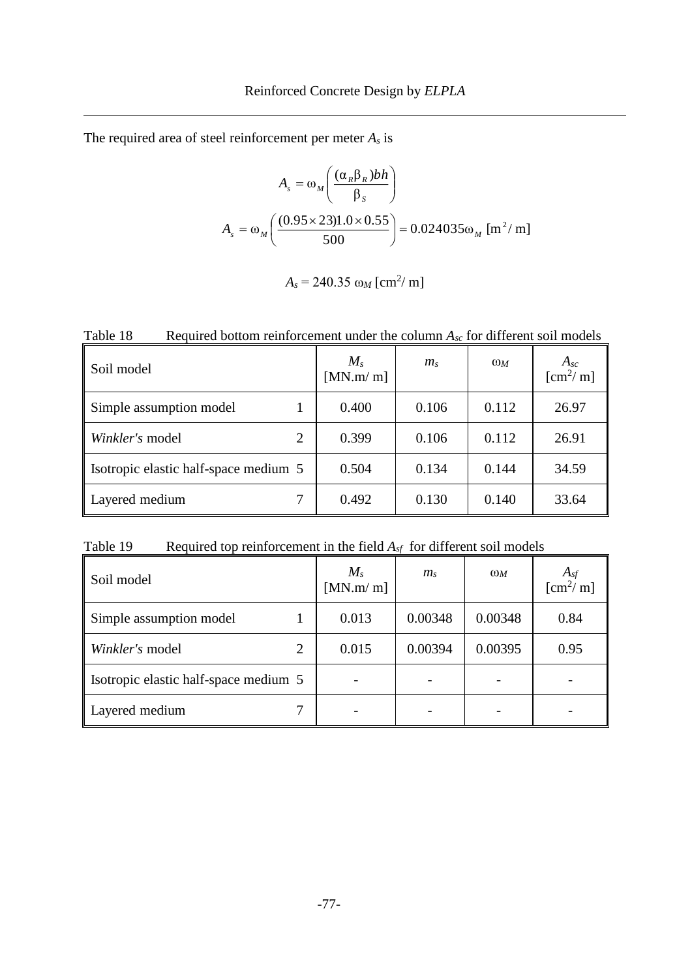The required area of steel reinforcement per meter *A<sup>s</sup>* is

$$
A_{s} = \omega_{M} \left( \frac{(\alpha_{R} \beta_{R}) bh}{\beta_{S}} \right)
$$
  

$$
A_{s} = \omega_{M} \left( \frac{(0.95 \times 23) 1.0 \times 0.55}{500} \right) = 0.024035 \omega_{M} \text{ [m}^{2}/\text{m]}
$$

$$
A_s = 240.35 \omega_M \,[\text{cm}^2/\,\text{m}]
$$

<span id="page-10-0"></span>Table 18 Required bottom reinforcement under the column  $A_{sc}$  for different soil models

| Soil model                            | $M_{s}$<br>[MN.m/m] | $m_{\rm s}$ | $\omega_M$ | $A_{sc}$<br>$\left[\text{cm}^2/\text{m}\right]$ |
|---------------------------------------|---------------------|-------------|------------|-------------------------------------------------|
| Simple assumption model               | 0.400               | 0.106       | 0.112      | 26.97                                           |
| Winkler's model<br>2                  | 0.399               | 0.106       | 0.112      | 26.91                                           |
| Isotropic elastic half-space medium 5 | 0.504               | 0.134       | 0.144      | 34.59                                           |
| Layered medium                        | 0.492               | 0.130       | 0.140      | 33.64                                           |

<span id="page-10-1"></span>Table 19 Required top reinforcement in the field  $A_{sf}$  for different soil models

| Soil model                            | $M_{s}$<br>[MN.m/m] | $m_{\rm s}$ | $\omega_M$ | $A_{sf}$ [cm <sup>2</sup> / m] |
|---------------------------------------|---------------------|-------------|------------|--------------------------------|
| Simple assumption model               | 0.013               | 0.00348     | 0.00348    | 0.84                           |
| Winkler's model<br>2                  | 0.015               | 0.00394     | 0.00395    | 0.95                           |
| Isotropic elastic half-space medium 5 |                     |             |            |                                |
| Layered medium                        |                     |             |            |                                |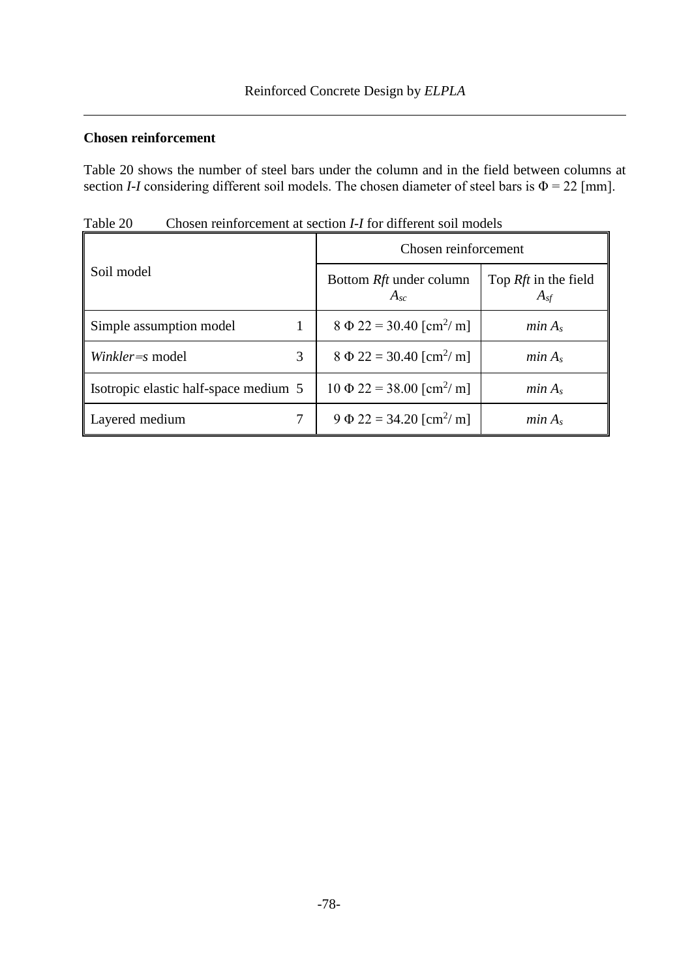## **Chosen reinforcement**

[Table 20](#page-11-0) shows the number of steel bars under the column and in the field between columns at section *I*-*I* considering different soil models. The chosen diameter of steel bars is  $\Phi = 22$  [mm].

|                                       | Chosen reinforcement                       |                                    |  |
|---------------------------------------|--------------------------------------------|------------------------------------|--|
| Soil model                            | Bottom <i>Rft</i> under column<br>$A_{sc}$ | Top $Rft$ in the field<br>$A_{sf}$ |  |
| Simple assumption model               | $8 \Phi 22 = 30.40$ [cm <sup>2</sup> / m]  | min A <sub>s</sub>                 |  |
| 3<br>Winkler=s model                  | $8 \Phi 22 = 30.40$ [cm <sup>2</sup> / m]  | min A <sub>s</sub>                 |  |
| Isotropic elastic half-space medium 5 | $10 \Phi 22 = 38.00$ [cm <sup>2</sup> / m] | min A <sub>s</sub>                 |  |
| Layered medium                        | $9 \Phi 22 = 34.20$ [cm <sup>2</sup> / m]  | min A <sub>s</sub>                 |  |

<span id="page-11-0"></span>Table 20 Chosen reinforcement at section *I-I* for different soil models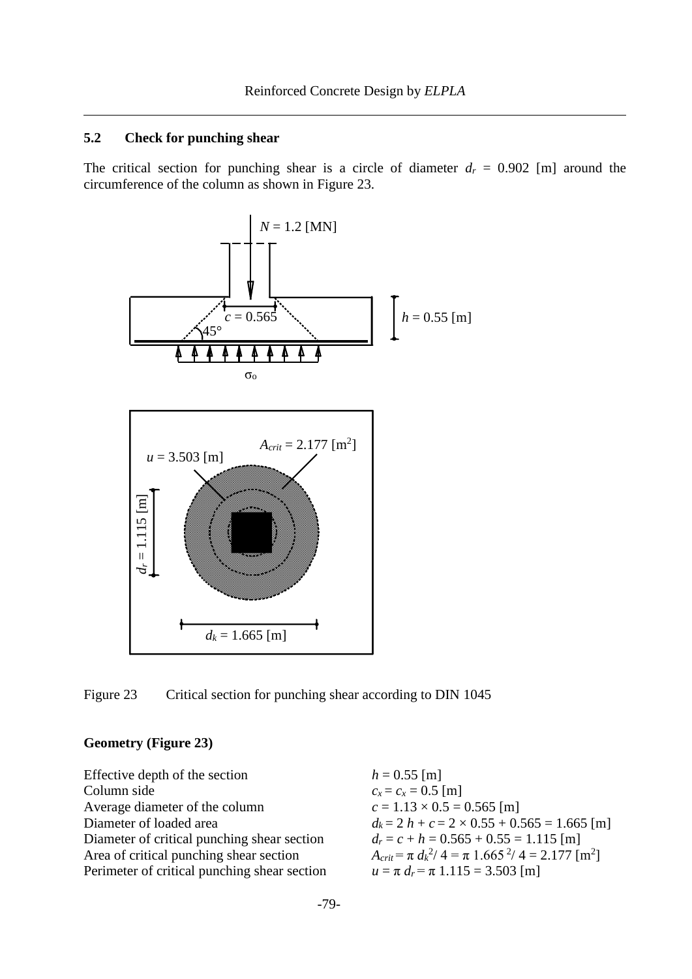#### **5.2 Check for punching shear**

The critical section for punching shear is a circle of diameter  $d_r = 0.902$  [m] around the circumference of the column as shown in [Figure 23.](#page-12-0)



<span id="page-12-0"></span>Figure 23 Critical section for punching shear according to DIN 1045

#### **Geometry [\(Figure 23\)](#page-12-0)**

Effective depth of the section  $h = 0.55$  [m] Column side  $c_x = c_x = 0.5$  [m] Average diameter of the column  $c = 1.13 \times 0.5 = 0.565$  [m] Diameter of loaded area  $d_k = 2 h + c = 2 \times 0.55 + 0.565 = 1.665$  [m]<br>Diameter of critical punching shear section  $d_r = c + h = 0.565 + 0.55 = 1.115$  [m] Diameter of critical punching shear section  $Area of critical punching shear section$ Perimeter of critical punching shear section  $u = \pi d_r = \pi 1.115 = 3.503$  [m]

 $^{2}/$  4 =  $\pi$  1.665<sup>2</sup>/ 4 = 2.177 [m<sup>2</sup>]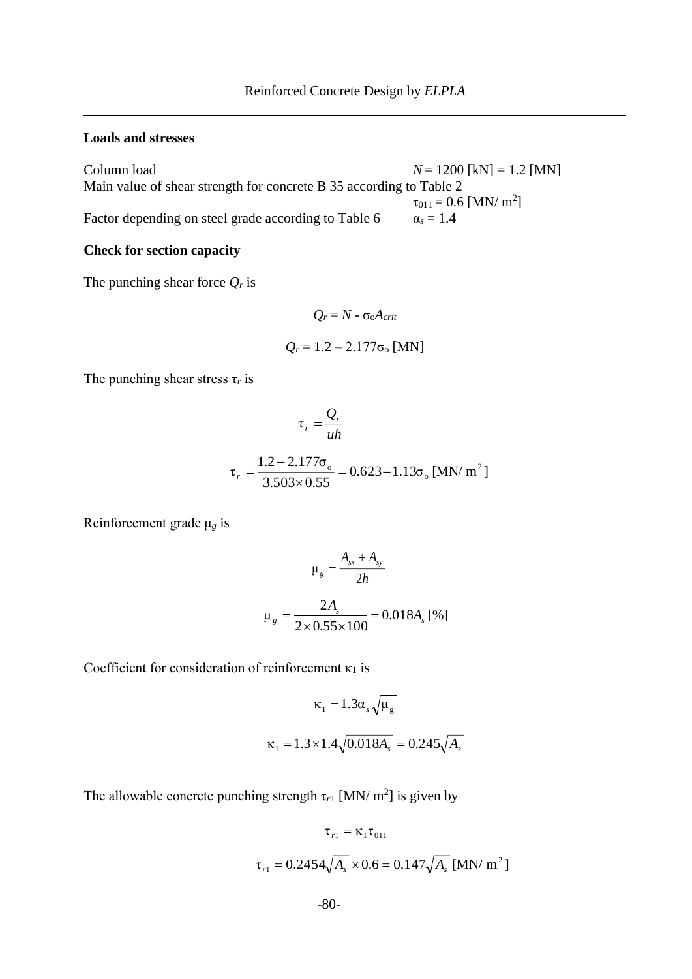#### **Loads and stresses**

Column load  $N = 1200$  [kN] = 1.2 [MN] Main value of shear strength for concrete B 35 according to Table 2  $\tau_{011} = 0.6$  [MN/ m<sup>2</sup>] Factor depending on steel grade according to Table  $6 \alpha_s = 1.4$ 

## **Check for section capacity**

The punching shear force *Q<sup>r</sup>* is

$$
Q_r = N - \sigma_0 A_{crit}
$$
  

$$
Q_r = 1.2 - 2.177 \sigma_0 \text{ [MN]}
$$

The punching shear stress  $\tau_r$  is

$$
\tau_r = \frac{Q_r}{uh}
$$
  

$$
\tau_r = \frac{1.2 - 2.177\sigma_o}{3.503 \times 0.55} = 0.623 - 1.13\sigma_o \text{ [MN/m}^2 \text{]}
$$

Reinforcement grade μ*<sup>g</sup>* is

$$
\mu_{g} = \frac{A_{sx} + A_{sy}}{2h}
$$

$$
\mu_{g} = \frac{2A_{s}}{2 \times 0.55 \times 100} = 0.018A_{s} [%]
$$

Coefficient for consideration of reinforcement  $\kappa_1$  is

$$
\kappa_1 = 1.3 \alpha_s \sqrt{\mu_g}
$$
  

$$
\kappa_1 = 1.3 \times 1.4 \sqrt{0.018 A_s} = 0.245 \sqrt{A_s}
$$

The allowable concrete punching strength  $\tau_{r1}$  [MN/ m<sup>2</sup>] is given by

$$
\tau_{r1} = \kappa_1 \tau_{011}
$$
  

$$
\tau_{r1} = 0.2454 \sqrt{A_s} \times 0.6 = 0.147 \sqrt{A_s} \text{ [MN/m}^2 \text{]}
$$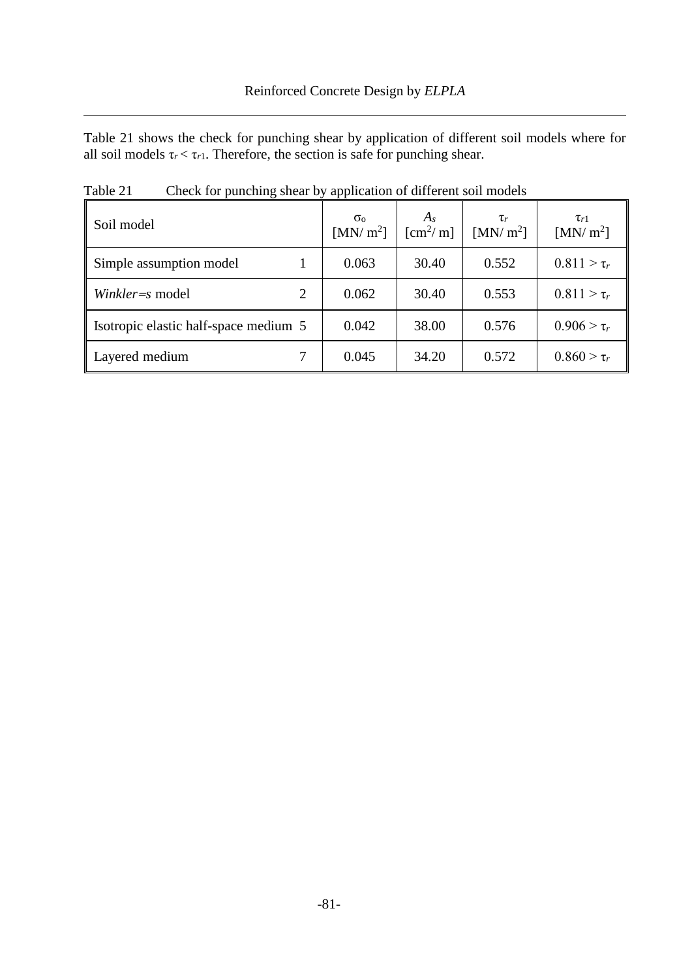[Table 21](#page-14-0) shows the check for punching shear by application of different soil models where for all soil models  $\tau_r < \tau_{r1}$ . Therefore, the section is safe for punching shear.

| Soil model                            | $\sigma_{\rm o}$<br>[MN/m <sup>2</sup> ] | $A_{s}$<br>$\mathrm{[cm^2/m]}$ | $\tau_r$<br>[MN/m <sup>2</sup> ] | $\tau_{r1}$<br>[MN/m <sup>2</sup> ] |
|---------------------------------------|------------------------------------------|--------------------------------|----------------------------------|-------------------------------------|
| Simple assumption model               | 0.063                                    | 30.40                          | 0.552                            | $0.811 > \tau_r$                    |
| Winkler=s model<br>2                  | 0.062                                    | 30.40                          | 0.553                            | $0.811 > \tau_r$                    |
| Isotropic elastic half-space medium 5 | 0.042                                    | 38.00                          | 0.576                            | $0.906 > \tau_r$                    |
| Layered medium                        | 0.045                                    | 34.20                          | 0.572                            | $0.860 > \tau_r$                    |

<span id="page-14-0"></span>Table 21 Check for punching shear by application of different soil models